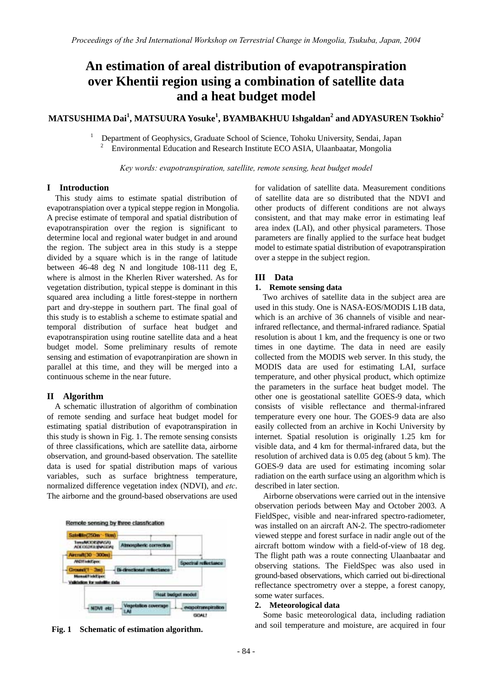# **An estimation of areal distribution of evapotranspiration over Khentii region using a combination of satellite data and a heat budget model**

## **MATSUSHIMA Dai<sup>1</sup> , MATSUURA Yosuke<sup>1</sup> , BYAMBAKHUU Ishgaldan<sup>2</sup> and ADYASUREN Tsokhio<sup>2</sup>**

 Department of Geophysics, Graduate School of Science, Tohoku University, Sendai, Japan 2 <sup>2</sup> Environmental Education and Research Institute ECO ASIA, Ulaanbaatar, Mongolia

*Key words: evapotranspiration, satellite, remote sensing, heat budget model* 

### **I Introduction**

1

This study aims to estimate spatial distribution of evapotranspiation over a typical steppe region in Mongolia. A precise estimate of temporal and spatial distribution of evapotranspiration over the region is significant to determine local and regional water budget in and around the region. The subject area in this study is a steppe divided by a square which is in the range of latitude between 46-48 deg N and longitude 108-111 deg E, where is almost in the Kherlen River watershed. As for vegetation distribution, typical steppe is dominant in this squared area including a little forest-steppe in northern part and dry-steppe in southern part. The final goal of this study is to establish a scheme to estimate spatial and temporal distribution of surface heat budget and evapotranspiration using routine satellite data and a heat budget model. Some preliminary results of remote sensing and estimation of evapotranpiration are shown in parallel at this time, and they will be merged into a continuous scheme in the near future.

#### **II Algorithm**

A schematic illustration of algorithm of combination of remote sending and surface heat budget model for estimating spatial distribution of evapotranspiration in this study is shown in Fig. 1. The remote sensing consists of three classifications, which are satellite data, airborne observation, and ground-based observation. The satellite data is used for spatial distribution maps of various variables, such as surface brightness temperature, normalized difference vegetation index (NDVI), and *etc*. The airborne and the ground-based observations are used



for validation of satellite data. Measurement conditions of satellite data are so distributed that the NDVI and other products of different conditions are not always consistent, and that may make error in estimating leaf area index (LAI), and other physical parameters. Those parameters are finally applied to the surface heat budget model to estimate spatial distribution of evapotranspiration over a steppe in the subject region.

#### **III Data**

## **1. Remote sensing data**

Two archives of satellite data in the subject area are used in this study. One is NASA-EOS/MODIS L1B data, which is an archive of 36 channels of visible and nearinfrared reflectance, and thermal-infrared radiance. Spatial resolution is about 1 km, and the frequency is one or two times in one daytime. The data in need are easily collected from the MODIS web server. In this study, the MODIS data are used for estimating LAI, surface temperature, and other physical product, which optimize the parameters in the surface heat budget model. The other one is geostational satellite GOES-9 data, which consists of visible reflectance and thermal-infrared temperature every one hour. The GOES-9 data are also easily collected from an archive in Kochi University by internet. Spatial resolution is originally 1.25 km for visible data, and 4 km for thermal-infrared data, but the resolution of archived data is 0.05 deg (about 5 km). The GOES-9 data are used for estimating incoming solar radiation on the earth surface using an algorithm which is described in later section.

Airborne observations were carried out in the intensive observation periods between May and October 2003. A FieldSpec, visible and near-infrared spectro-radiometer, was installed on an aircraft AN-2. The spectro-radiometer viewed steppe and forest surface in nadir angle out of the aircraft bottom window with a field-of-view of 18 deg. The flight path was a route connecting Ulaanbaatar and observing stations. The FieldSpec was also used in ground-based observations, which carried out bi-directional reflectance spectrometry over a steppe, a forest canopy, some water surfaces.

## **2. Meteorological data**

Some basic meteorological data, including radiation Fig. 1 Schematic of estimation algorithm. **All and solution** and soil temperature and moisture, are acquired in four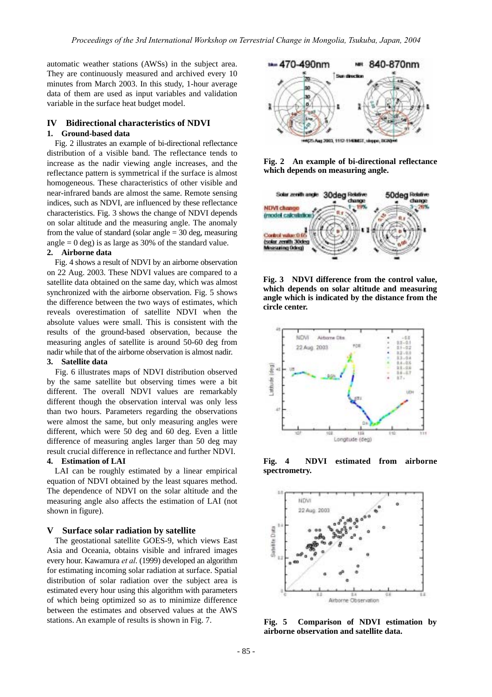automatic weather stations (AWSs) in the subject area. They are continuously measured and archived every 10 minutes from March 2003. In this study, 1-hour average data of them are used as input variables and validation variable in the surface heat budget model.

## **IV Bidirectional characteristics of NDVI 1. Ground-based data**

Fig. 2 illustrates an example of bi-directional reflectance distribution of a visible band. The reflectance tends to increase as the nadir viewing angle increases, and the reflectance pattern is symmetrical if the surface is almost homogeneous. These characteristics of other visible and near-infrared bands are almost the same. Remote sensing indices, such as NDVI, are influenced by these reflectance characteristics. Fig. 3 shows the change of NDVI depends on solar altitude and the measuring angle. The anomaly from the value of standard (solar angle  $=$  30 deg, measuring angle  $= 0$  deg) is as large as 30% of the standard value.

#### **2. Airborne data**

Fig. 4 shows a result of NDVI by an airborne observation on 22 Aug. 2003. These NDVI values are compared to a satellite data obtained on the same day, which was almost synchronized with the airborne observation. Fig. 5 shows the difference between the two ways of estimates, which reveals overestimation of satellite NDVI when the absolute values were small. This is consistent with the results of the ground-based observation, because the measuring angles of satellite is around 50-60 deg from nadir while that of the airborne observation is almost nadir.

#### **3. Satellite data**

Fig. 6 illustrates maps of NDVI distribution observed by the same satellite but observing times were a bit different. The overall NDVI values are remarkably different though the observation interval was only less than two hours. Parameters regarding the observations were almost the same, but only measuring angles were different, which were 50 deg and 60 deg. Even a little difference of measuring angles larger than 50 deg may result crucial difference in reflectance and further NDVI.

## **4. Estimation of LAI**

LAI can be roughly estimated by a linear empirical equation of NDVI obtained by the least squares method. The dependence of NDVI on the solar altitude and the measuring angle also affects the estimation of LAI (not shown in figure).

#### **V Surface solar radiation by satellite**

The geostational satellite GOES-9, which views East Asia and Oceania, obtains visible and infrared images every hour. Kawamura *et al*. (1999) developed an algorithm for estimating incoming solar radiation at surface. Spatial distribution of solar radiation over the subject area is estimated every hour using this algorithm with parameters of which being optimized so as to minimize difference between the estimates and observed values at the AWS stations. An example of results is shown in Fig. 7.



**Fig. 2 An example of bi-directional reflectance which depends on measuring angle.** 



**Fig. 3 NDVI difference from the control value, which depends on solar altitude and measuring angle which is indicated by the distance from the circle center.** 



**Fig. 4 NDVI estimated from airborne spectrometry.** 



**Fig. 5 Comparison of NDVI estimation by airborne observation and satellite data.**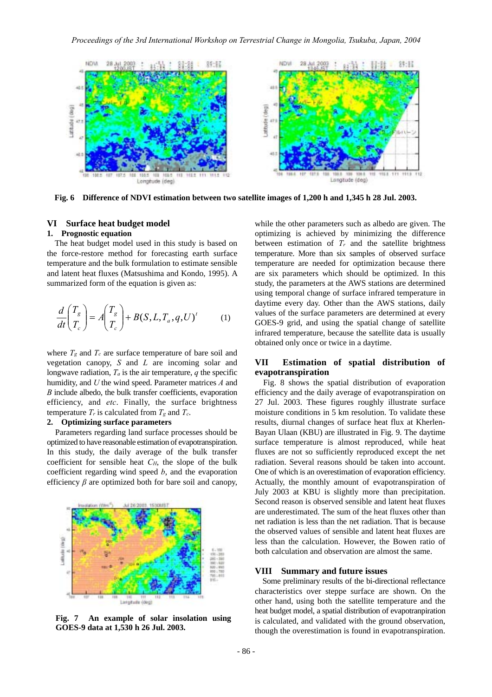

**Fig. 6 Difference of NDVI estimation between two satellite images of 1,200 h and 1,345 h 28 Jul. 2003.**

## **VI Surface heat budget model**

#### **1. Prognostic equation**

The heat budget model used in this study is based on the force-restore method for forecasting earth surface temperature and the bulk formulation to estimate sensible and latent heat fluxes (Matsushima and Kondo, 1995). A summarized form of the equation is given as:

$$
\frac{d}{dt} \begin{pmatrix} T_g \\ T_c \end{pmatrix} = A \begin{pmatrix} T_g \\ T_c \end{pmatrix} + B(S, L, T_a, q, U)^t \tag{1}
$$

where  $T_g$  and  $T_c$  are surface temperature of bare soil and vegetation canopy, *S* and *L* are incoming solar and longwave radiation,  $T_a$  is the air temperature,  $q$  the specific humidity, and *U* the wind speed. Parameter matrices *A* and *B* include albedo, the bulk transfer coefficients, evaporation efficiency, and *etc*. Finally, the surface brightness temperature  $T_r$  is calculated from  $T_g$  and  $T_c$ .

#### **2. Optimizing surface parameters**

Parameters regarding land surface processes should be optimized to have reasonable estimation of evapotranspiration. In this study, the daily average of the bulk transfer coefficient for sensible heat *CH*, the slope of the bulk coefficient regarding wind speed *b*, and the evaporation efficiency  $\beta$  are optimized both for bare soil and canopy,



**Fig. 7 An example of solar insolation using GOES-9 data at 1,530 h 26 Jul. 2003.** 

while the other parameters such as albedo are given. The optimizing is achieved by minimizing the difference between estimation of  $T_r$  and the satellite brightness temperature. More than six samples of observed surface temperature are needed for optimization because there are six parameters which should be optimized. In this study, the parameters at the AWS stations are determined using temporal change of surface infrared temperature in daytime every day. Other than the AWS stations, daily values of the surface parameters are determined at every GOES-9 grid, and using the spatial change of satellite infrared temperature, because the satellite data is usually obtained only once or twice in a daytime.

#### **VII Estimation of spatial distribution of evapotranspiration**

Fig. 8 shows the spatial distribution of evaporation efficiency and the daily average of evapotranspiration on 27 Jul. 2003. These figures roughly illustrate surface moisture conditions in 5 km resolution. To validate these results, diurnal changes of surface heat flux at Kherlen-Bayan Ulaan (KBU) are illustrated in Fig. 9. The daytime surface temperature is almost reproduced, while heat fluxes are not so sufficiently reproduced except the net radiation. Several reasons should be taken into account. One of which is an overestimation of evaporation efficiency. Actually, the monthly amount of evapotranspiration of July 2003 at KBU is slightly more than precipitation. Second reason is observed sensible and latent heat fluxes are underestimated. The sum of the heat fluxes other than net radiation is less than the net radiation. That is because the observed values of sensible and latent heat fluxes are less than the calculation. However, the Bowen ratio of both calculation and observation are almost the same.

#### **VIII Summary and future issues**

Some preliminary results of the bi-directional reflectance characteristics over steppe surface are shown. On the other hand, using both the satellite temperature and the heat budget model, a spatial distribution of evapotranpiration is calculated, and validated with the ground observation, though the overestimation is found in evapotranspiration.